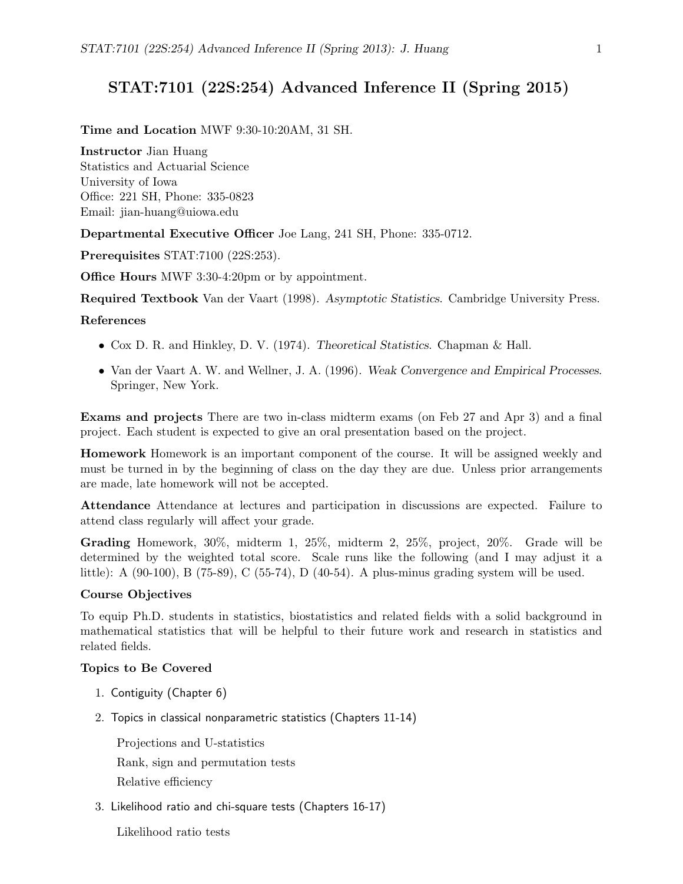# STAT:7101 (22S:254) Advanced Inference II (Spring 2015)

### Time and Location MWF 9:30-10:20AM, 31 SH.

Instructor Jian Huang Statistics and Actuarial Science University of Iowa Office: 221 SH, Phone: 335-0823 Email: jian-huang@uiowa.edu

Departmental Executive Officer Joe Lang, 241 SH, Phone: 335-0712.

Prerequisites STAT:7100 (22S:253).

Office Hours MWF 3:30-4:20pm or by appointment.

Required Textbook Van der Vaart (1998). Asymptotic Statistics. Cambridge University Press.

## References

- Cox D. R. and Hinkley, D. V. (1974). Theoretical Statistics. Chapman & Hall.
- Van der Vaart A. W. and Wellner, J. A. (1996). Weak Convergence and Empirical Processes. Springer, New York.

Exams and projects There are two in-class midterm exams (on Feb 27 and Apr 3) and a final project. Each student is expected to give an oral presentation based on the project.

Homework Homework is an important component of the course. It will be assigned weekly and must be turned in by the beginning of class on the day they are due. Unless prior arrangements are made, late homework will not be accepted.

Attendance Attendance at lectures and participation in discussions are expected. Failure to attend class regularly will affect your grade.

Grading Homework, 30%, midterm 1, 25%, midterm 2, 25%, project, 20%. Grade will be determined by the weighted total score. Scale runs like the following (and I may adjust it a little): A (90-100), B (75-89), C (55-74), D (40-54). A plus-minus grading system will be used.

## Course Objectives

To equip Ph.D. students in statistics, biostatistics and related fields with a solid background in mathematical statistics that will be helpful to their future work and research in statistics and related fields.

### Topics to Be Covered

- 1. Contiguity (Chapter 6)
- 2. Topics in classical nonparametric statistics (Chapters 11-14)

Projections and U-statistics Rank, sign and permutation tests Relative efficiency

- 3. Likelihood ratio and chi-square tests (Chapters 16-17)
	- Likelihood ratio tests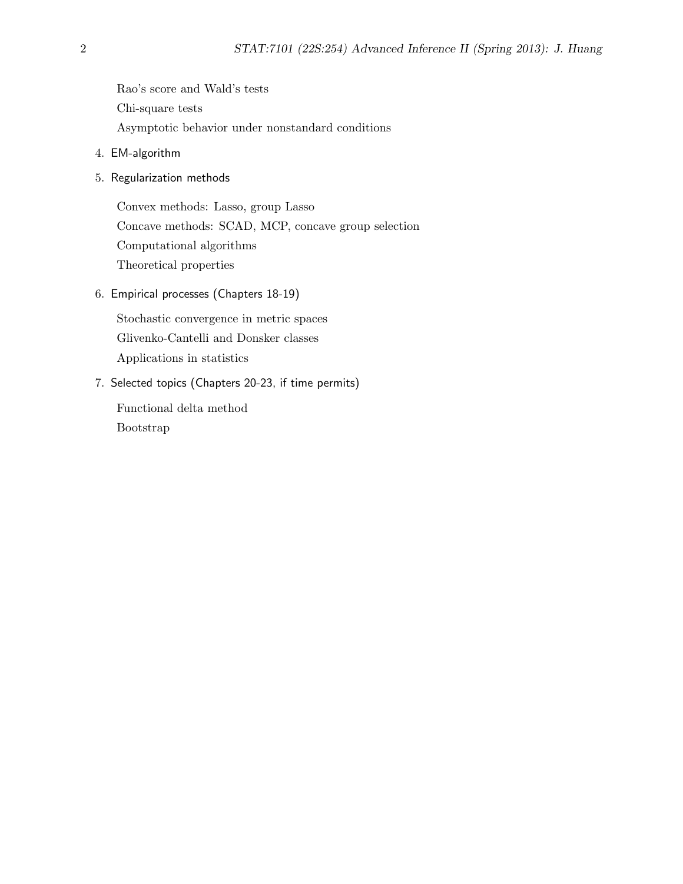Rao's score and Wald's tests Chi-square tests Asymptotic behavior under nonstandard conditions

- 4. EM-algorithm
- 5. Regularization methods

Convex methods: Lasso, group Lasso Concave methods: SCAD, MCP, concave group selection Computational algorithms Theoretical properties

6. Empirical processes (Chapters 18-19)

Stochastic convergence in metric spaces Glivenko-Cantelli and Donsker classes Applications in statistics

7. Selected topics (Chapters 20-23, if time permits)

Functional delta method Bootstrap